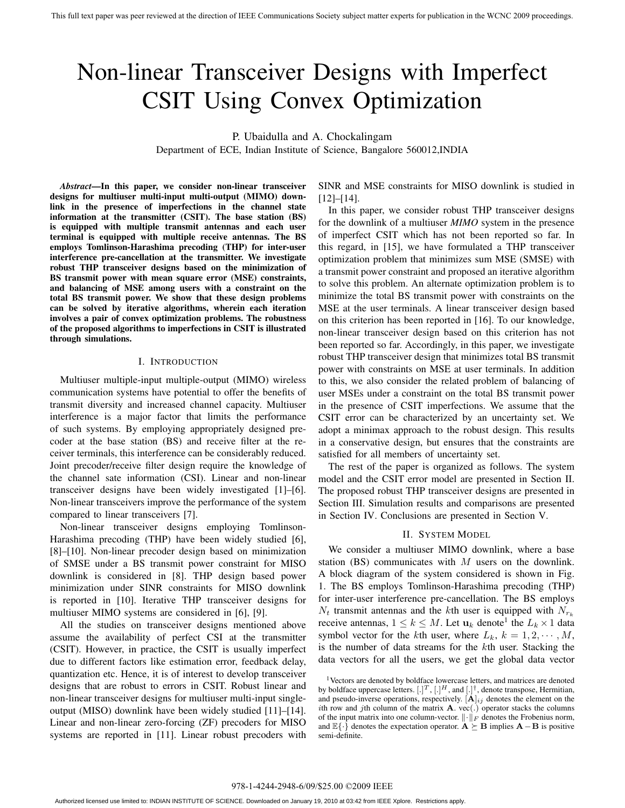# Non-linear Transceiver Designs with Imperfect CSIT Using Convex Optimization

P. Ubaidulla and A. Chockalingam

Department of ECE, Indian Institute of Science, Bangalore 560012,INDIA

*Abstract***—In this paper, we consider non-linear transceiver designs for multiuser multi-input multi-output (MIMO) downlink in the presence of imperfections in the channel state information at the transmitter (CSIT). The base station (BS) is equipped with multiple transmit antennas and each user terminal is equipped with multiple receive antennas. The BS employs Tomlinson-Harashima precoding (THP) for inter-user interference pre-cancellation at the transmitter. We investigate robust THP transceiver designs based on the minimization of BS transmit power with mean square error (MSE) constraints, and balancing of MSE among users with a constraint on the total BS transmit power. We show that these design problems can be solved by iterative algorithms, wherein each iteration involves a pair of convex optimization problems. The robustness of the proposed algorithms to imperfections in CSIT is illustrated through simulations.**

#### I. INTRODUCTION

Multiuser multiple-input multiple-output (MIMO) wireless communication systems have potential to offer the benefits of transmit diversity and increased channel capacity. Multiuser interference is a major factor that limits the performance of such systems. By employing appropriately designed precoder at the base station (BS) and receive filter at the receiver terminals, this interference can be considerably reduced. Joint precoder/receive filter design require the knowledge of the channel sate information (CSI). Linear and non-linear transceiver designs have been widely investigated [1]–[6]. Non-linear transceivers improve the performance of the system compared to linear transceivers [7].

Non-linear transceiver designs employing Tomlinson-Harashima precoding (THP) have been widely studied [6], [8]–[10]. Non-linear precoder design based on minimization of SMSE under a BS transmit power constraint for MISO downlink is considered in [8]. THP design based power minimization under SINR constraints for MISO downlink is reported in [10]. Iterative THP transceiver designs for multiuser MIMO systems are considered in [6], [9].

All the studies on transceiver designs mentioned above assume the availability of perfect CSI at the transmitter (CSIT). However, in practice, the CSIT is usually imperfect due to different factors like estimation error, feedback delay, quantization etc. Hence, it is of interest to develop transceiver designs that are robust to errors in CSIT. Robust linear and non-linear transceiver designs for multiuser multi-input singleoutput (MISO) downlink have been widely studied [11]–[14]. Linear and non-linear zero-forcing (ZF) precoders for MISO systems are reported in [11]. Linear robust precoders with

SINR and MSE constraints for MISO downlink is studied in [12]–[14].

In this paper, we consider robust THP transceiver designs for the downlink of a multiuser *MIMO* system in the presence of imperfect CSIT which has not been reported so far. In this regard, in [15], we have formulated a THP transceiver optimization problem that minimizes sum MSE (SMSE) with a transmit power constraint and proposed an iterative algorithm to solve this problem. An alternate optimization problem is to minimize the total BS transmit power with constraints on the MSE at the user terminals. A linear transceiver design based on this criterion has been reported in [16]. To our knowledge, non-linear transceiver design based on this criterion has not been reported so far. Accordingly, in this paper, we investigate robust THP transceiver design that minimizes total BS transmit power with constraints on MSE at user terminals. In addition to this, we also consider the related problem of balancing of user MSEs under a constraint on the total BS transmit power in the presence of CSIT imperfections. We assume that the CSIT error can be characterized by an uncertainty set. We adopt a minimax approach to the robust design. This results in a conservative design, but ensures that the constraints are satisfied for all members of uncertainty set.

The rest of the paper is organized as follows. The system model and the CSIT error model are presented in Section II. The proposed robust THP transceiver designs are presented in Section III. Simulation results and comparisons are presented in Section IV. Conclusions are presented in Section V.

#### II. SYSTEM MODEL

We consider a multiuser MIMO downlink, where a base station (BS) communicates with  $M$  users on the downlink. A block diagram of the system considered is shown in Fig. 1. The BS employs Tomlinson-Harashima precoding (THP) for inter-user interference pre-cancellation. The BS employs  $N_t$  transmit antennas and the kth user is equipped with  $N_{r_k}$ receive antennas,  $1 \leq k \leq M$ . Let  $\mathbf{u}_k$  denote<sup>1</sup> the  $L_k \times 1$  data symbol vector for the kth user, where  $L_k$ ,  $k = 1, 2, \dots, M$ , is the number of data streams for the kth user. Stacking the data vectors for all the users, we get the global data vector

<sup>1</sup>Vectors are denoted by boldface lowercase letters, and matrices are denoted by boldface uppercase letters.  $[.]^T, [.]^H,$  and  $[.]^{\dagger}$ , denote transpose, Hermitian, and pseudo-inverse operations, respectively.  $[\mathbf{A}]_{ij}$  denotes the element on the ith row and jth column of the matrix **A**. vec(.) operator stacks the columns of the input matrix into one column-vector.  $\|\cdot\|_F$  denotes the Frobenius norm, and  $\mathbb{E}\{\cdot\}$  denotes the expectation operator.  $\mathbf{A} \succeq \mathbf{B}$  implies  $\mathbf{A} - \mathbf{B}$  is positive semi-definite.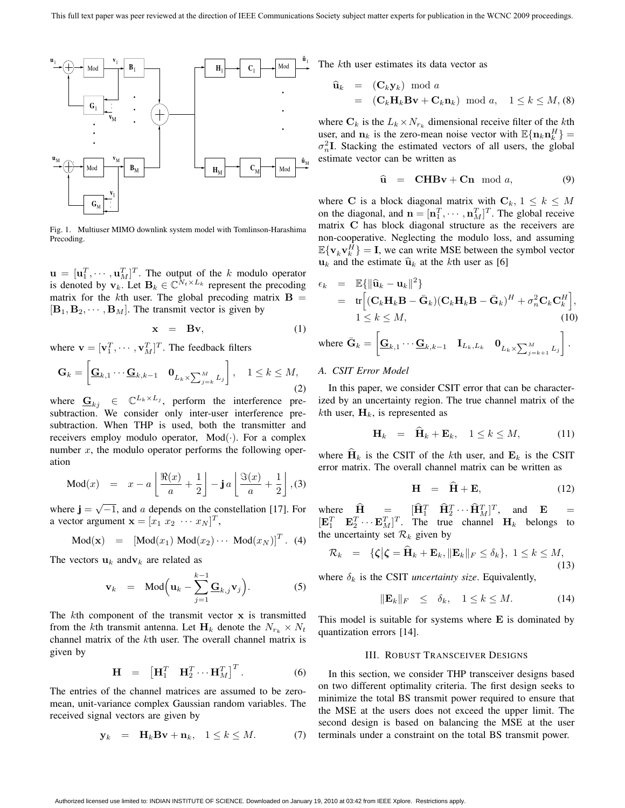

Fig. 1. Multiuser MIMO downlink system model with Tomlinson-Harashima Precoding.

 $\mathbf{u} = [\mathbf{u}_1^T, \cdots, \mathbf{u}_M^T]^T$ . The output of the k modulo operator is denoted by  $\mathbf{v}_k$ . Let  $\mathbf{B}_k \in \mathbb{C}^{\tilde{N}_t \times L_k}$  represent the precoding matrix for the kth user. The global precoding matrix  $\mathbf{B} =$  $[\mathbf{B}_1, \mathbf{B}_2, \cdots, \mathbf{B}_M]$ . The transmit vector is given by

$$
\mathbf{x} = \mathbf{B}\mathbf{v},\tag{1}
$$

where  $\mathbf{v} = [\mathbf{v}_1^T, \cdots, \mathbf{v}_M^T]^T$ . The feedback filters

$$
\mathbf{G}_k = \begin{bmatrix} \mathbf{G}_{k,1} \cdots \mathbf{G}_{k,k-1} & \mathbf{0}_{L_k \times \sum_{j=k}^M L_j} \end{bmatrix}, \quad 1 \le k \le M,
$$
\n(2)

where  $\mathbf{G}_{ki} \in \mathbb{C}^{L_k \times L_j}$ , perform the interference presubtraction. We consider only inter-user interference presubtraction. When THP is used, both the transmitter and receivers employ modulo operator,  $Mod(·)$ . For a complex number  $x$ , the modulo operator performs the following operation

$$
\text{Mod}(x) = x - a \left\lfloor \frac{\Re(x)}{a} + \frac{1}{2} \right\rfloor - \mathbf{j} \, a \left\lfloor \frac{\Im(x)}{a} + \frac{1}{2} \right\rfloor, (3)
$$

where  $\mathbf{j} = \sqrt{-1}$ , and a depends on the constellation [17]. For a vector argument  $\mathbf{x} = [x_1 \ x_2 \ \cdots \ x_N]^T$ ,

$$
Mod(x) = [Mod(x_1) Mod(x_2) \cdots Mod(x_N)]^T.
$$
 (4)

The vectors  $\mathbf{u}_k$  and  $\mathbf{v}_k$  are related as

$$
\mathbf{v}_k = \text{Mod}\Big(\mathbf{u}_k - \sum_{j=1}^{k-1} \mathbf{G}_{k,j} \mathbf{v}_j\Big). \tag{5}
$$

The kth component of the transmit vector **x** is transmitted from the kth transmit antenna. Let  $H_k$  denote the  $N_{r_k} \times N_t$ channel matrix of the kth user. The overall channel matrix is given by

$$
\mathbf{H} = \begin{bmatrix} \mathbf{H}_1^T & \mathbf{H}_2^T \cdots \mathbf{H}_M^T \end{bmatrix}^T.
$$
 (6)

The entries of the channel matrices are assumed to be zeromean, unit-variance complex Gaussian random variables. The received signal vectors are given by

$$
\mathbf{y}_k = \mathbf{H}_k \mathbf{B} \mathbf{v} + \mathbf{n}_k, \quad 1 \le k \le M. \tag{7}
$$

The kth user estimates its data vector as

$$
\begin{array}{rcl}\n\widehat{\mathbf{u}}_k & = & (\mathbf{C}_k \mathbf{y}_k) \mod a \\
& = & (\mathbf{C}_k \mathbf{H}_k \mathbf{B} \mathbf{v} + \mathbf{C}_k \mathbf{n}_k) \mod a, \quad 1 \le k \le M, \text{(8)}\n\end{array}
$$

where  $C_k$  is the  $L_k \times N_{r_k}$  dimensional receive filter of the kth user, and  $\mathbf{n}_k$  is the zero-mean noise vector with  $\mathbb{E}\{\mathbf{n}_k\mathbf{n}_k^H\}$  =  $\sigma_n^2$ **I**. Stacking the estimated vectors of all users, the global estimate vector can be written as

$$
\widehat{\mathbf{u}} = \mathbf{CHBv} + \mathbf{Cn} \mod a, \tag{9}
$$

where **C** is a block diagonal matrix with  $C_k$ ,  $1 \leq k \leq M$ on the diagonal, and  $\mathbf{n} = [\mathbf{n}_1^T, \cdots, \mathbf{n}_M^T]^T$ . The global receive matrix **C** has block diagonal structure as the receivers are non-cooperative. Neglecting the modulo loss, and assuming  $\mathbb{E}\{\mathbf{v}_k \mathbf{v}_k^H\} = \mathbf{I}$ , we can write MSE between the symbol vector  $\mathbf{u}_k$  and the estimate  $\hat{\mathbf{u}}_k$  at the kth user as [6]

$$
\epsilon_k = \mathbb{E}\{\|\widehat{\mathbf{u}}_k - \mathbf{u}_k\|^2\}
$$
  
=  $\text{tr}\left[ (\mathbf{C}_k \mathbf{H}_k \mathbf{B} - \bar{\mathbf{G}}_k)(\mathbf{C}_k \mathbf{H}_k \mathbf{B} - \bar{\mathbf{G}}_k)^H + \sigma_n^2 \mathbf{C}_k \mathbf{C}_k^H \right],$   
 $1 \le k \le M,$  (10)

where 
$$
\bar{\mathbf{G}}_k = \begin{bmatrix} \mathbf{G}_{k,1} \cdots \mathbf{G}_{k,k-1} & \mathbf{I}_{L_k, L_k} & \mathbf{0}_{L_k \times \sum_{j=k+1}^M L_j} \end{bmatrix}
$$
.

### *A. CSIT Error Model*

In this paper, we consider CSIT error that can be characterized by an uncertainty region. The true channel matrix of the kth user,  $H_k$ , is represented as

$$
\mathbf{H}_k = \widehat{\mathbf{H}}_k + \mathbf{E}_k, \quad 1 \le k \le M,\tag{11}
$$

where  $\hat{H}_k$  is the CSIT of the kth user, and  $E_k$  is the CSIT error matrix. The overall channel matrix can be written as

$$
\mathbf{H} = \widehat{\mathbf{H}} + \mathbf{E}, \tag{12}
$$

where  $\hat{\mathbf{H}} = [\hat{\mathbf{H}}_1^T \quad \hat{\mathbf{H}}_2^T \cdots \hat{\mathbf{H}}_M^T]^T$ , and  $\mathbf{E} =$  $[\mathbf{E}_1^T \quad \mathbf{E}_2^T \cdots \mathbf{E}_M^T]^T$ . The true channel  $\mathbf{H}_k$  belongs to the uncertainty set  $\mathcal{R}_k$  given by

$$
\mathcal{R}_k = \{\zeta | \zeta = \widehat{\mathbf{H}}_k + \mathbf{E}_k, \|\mathbf{E}_k\|_F \le \delta_k\}, \ 1 \le k \le M,
$$
\n(13)

where  $\delta_k$  is the CSIT *uncertainty size*. Equivalently,

$$
\|\mathbf{E}_k\|_F \le \delta_k, \quad 1 \le k \le M. \tag{14}
$$

This model is suitable for systems where **E** is dominated by quantization errors [14].

## III. ROBUST TRANSCEIVER DESIGNS

In this section, we consider THP transceiver designs based on two different optimality criteria. The first design seeks to minimize the total BS transmit power required to ensure that the MSE at the users does not exceed the upper limit. The second design is based on balancing the MSE at the user terminals under a constraint on the total BS transmit power.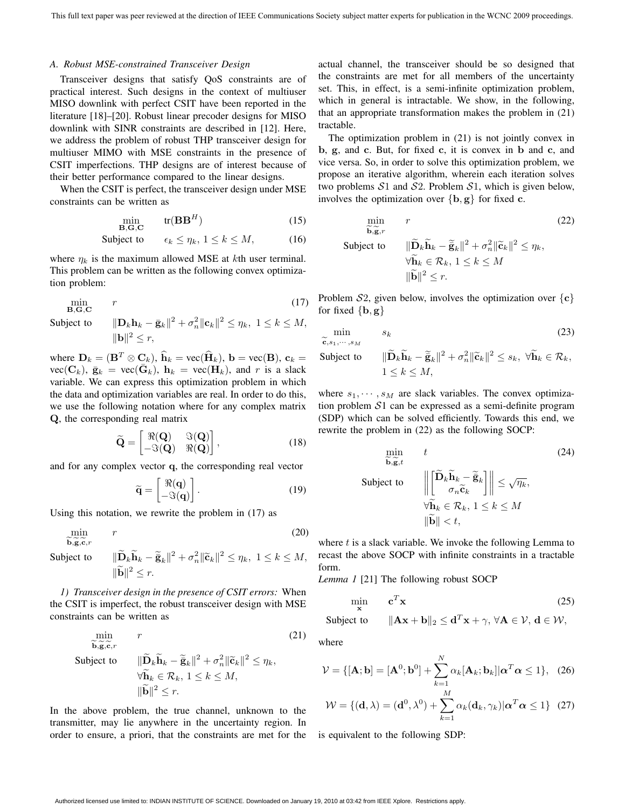#### *A. Robust MSE-constrained Transceiver Design*

Transceiver designs that satisfy QoS constraints are of practical interest. Such designs in the context of multiuser MISO downlink with perfect CSIT have been reported in the literature [18]–[20]. Robust linear precoder designs for MISO downlink with SINR constraints are described in [12]. Here, we address the problem of robust THP transceiver design for multiuser MIMO with MSE constraints in the presence of CSIT imperfections. THP designs are of interest because of their better performance compared to the linear designs.

When the CSIT is perfect, the transceiver design under MSE constraints can be written as

$$
\min_{\mathbf{B}, \mathbf{G}, \mathbf{C}} \quad \text{tr}(\mathbf{B}\mathbf{B}^H) \tag{15}
$$

$$
Subject to \qquad \epsilon_k \le \eta_k, \ 1 \le k \le M, \tag{16}
$$

where  $\eta_k$  is the maximum allowed MSE at kth user terminal. This problem can be written as the following convex optimization problem:

$$
\min_{\mathbf{B},\mathbf{G},\mathbf{C}} \qquad r \tag{17}
$$
\n
$$
\text{Subject to} \qquad \|\mathbf{D}_k \mathbf{h}_k - \bar{\mathbf{g}}_k\|^2 + \sigma_n^2 \|\mathbf{c}_k\|^2 \le \eta_k, \ 1 \le k \le M,
$$

$$
\|\mathbf{D}_k \mathbf{h}_k - \bar{\mathbf{g}}_k\|^2 + \sigma_n^2 \|\mathbf{c}_k\|^2 \le \eta_k, \ 1 \le k \le M,
$$
  

$$
\|\mathbf{b}\|^2 \le r,
$$

where  $\mathbf{D}_k = (\mathbf{B}^T \otimes \mathbf{C}_k)$ ,  $\hat{\mathbf{h}}_k = \text{vec}(\hat{\mathbf{H}}_k)$ ,  $\mathbf{b} = \text{vec}(\mathbf{B})$ ,  $\mathbf{c}_k =$  $\text{vec}(\mathbf{C}_k)$ ,  $\bar{\mathbf{g}}_k = \text{vec}(\bar{\mathbf{G}}_k)$ ,  $\mathbf{h}_k = \text{vec}(\mathbf{H}_k)$ , and r is a slack variable. We can express this optimization problem in which the data and optimization variables are real. In order to do this, we use the following notation where for any complex matrix **Q**, the corresponding real matrix

$$
\widetilde{\mathbf{Q}} = \begin{bmatrix} \Re(\mathbf{Q}) & \Im(\mathbf{Q}) \\ -\Im(\mathbf{Q}) & \Re(\mathbf{Q}) \end{bmatrix}, \tag{18}
$$

and for any complex vector **q**, the corresponding real vector

$$
\widetilde{\mathbf{q}} = \begin{bmatrix} \Re(\mathbf{q}) \\ -\Im(\mathbf{q}) \end{bmatrix} . \tag{19}
$$

Using this notation, we rewrite the problem in (17) as

$$
\min_{\widetilde{\mathbf{b}}, \widetilde{\mathbf{c}}, \widetilde{\mathbf{c}}, r} \qquad r \tag{20}
$$

 $\widetilde{\mathbf{b}}, \widetilde{\mathbf{g}}, \widetilde{\mathbf{g}}$ **Subject** to

$$
\|\widetilde{\mathbf{D}}_k \widetilde{\mathbf{h}}_k - \widetilde{\mathbf{g}}_k\|^2 + \sigma_n^2 \|\widetilde{\mathbf{c}}_k\|^2 \le \eta_k, \ 1 \le k \le M,
$$
  

$$
\|\widetilde{\mathbf{b}}\|^2 \le r.
$$

*1) Transceiver design in the presence of CSIT errors:* When the CSIT is imperfect, the robust transceiver design with MSE constraints can be written as

$$
\min_{\widetilde{\mathbf{b}}, \widetilde{\mathbf{g}}, \widetilde{\mathbf{c}}, r} \qquad (21)
$$
\n
$$
\text{Subject to } \qquad \|\widetilde{\mathbf{D}}_k \widetilde{\mathbf{h}}_k - \widetilde{\mathbf{g}}_k\|^2 + \sigma_n^2 \|\widetilde{\mathbf{c}}_k\|^2 \le \eta_k, \\
\forall \widetilde{\mathbf{h}}_k \in \mathcal{R}_k, 1 \le k \le M, \\
\|\widetilde{\mathbf{b}}\|^2 \le r.
$$

In the above problem, the true channel, unknown to the transmitter, may lie anywhere in the uncertainty region. In order to ensure, a priori, that the constraints are met for the

actual channel, the transceiver should be so designed that the constraints are met for all members of the uncertainty set. This, in effect, is a semi-infinite optimization problem, which in general is intractable. We show, in the following, that an appropriate transformation makes the problem in (21) tractable.

The optimization problem in (21) is not jointly convex in **b**, **g**, and **c**. But, for fixed **c**, it is convex in **b** and **c**, and vice versa. So, in order to solve this optimization problem, we propose an iterative algorithm, wherein each iteration solves two problems  $S1$  and  $S2$ . Problem  $S1$ , which is given below, involves the optimization over  $\{b, g\}$  for fixed **c**.

$$
\min_{\widetilde{\mathbf{b}}, \widetilde{\mathbf{g}}, r} \qquad (22)
$$
\n
$$
\text{Subject to } \qquad \|\widetilde{\mathbf{D}}_k \widetilde{\mathbf{h}}_k - \widetilde{\mathbf{g}}_k\|^2 + \sigma_n^2 \|\widetilde{\mathbf{c}}_k\|^2 \le \eta_k, \\
\forall \widetilde{\mathbf{h}}_k \in \mathcal{R}_k, 1 \le k \le M \\
\|\widetilde{\mathbf{b}}\|^2 \le r.
$$

Problem  $S2$ , given below, involves the optimization over  $\{c\}$ for fixed  $\{b, g\}$ 

$$
\min_{\widetilde{\mathbf{c}}, s_1, \cdots, s_M} s_k
$$
\nSubject to

\n
$$
\|\widetilde{\mathbf{D}}_k \widetilde{\mathbf{h}}_k - \widetilde{\mathbf{g}}_k\|^2 + \sigma_n^2 \|\widetilde{\mathbf{c}}_k\|^2 < s_k, \ \forall \widetilde{\mathbf{h}}_k \in \mathcal{R}_k,
$$

$$
\begin{aligned} \text{Subject to} & \|\widetilde{\mathbf{D}}_k \widetilde{\mathbf{h}}_k - \widetilde{\mathbf{g}}_k\|^2 + \sigma_n^2 \|\widetilde{\mathbf{c}}_k\|^2 \le s_k, \ \forall \widetilde{\mathbf{h}}_k \in \mathcal{R}_k, \\ & 1 \le k \le M, \end{aligned}
$$

where  $s_1, \dots, s_M$  are slack variables. The convex optimization problem S1 can be expressed as a semi-definite program (SDP) which can be solved efficiently. Towards this end, we rewrite the problem in (22) as the following SOCP:

$$
\min_{\widetilde{\mathbf{b}}, \widetilde{\mathbf{g}}, t} \quad t \tag{24}
$$
\n
$$
\text{Subject to } \quad \left\| \begin{bmatrix} \widetilde{\mathbf{D}}_k \widetilde{\mathbf{h}}_k - \widetilde{\mathbf{g}}_k \\ \sigma_n \widetilde{\mathbf{c}}_k \end{bmatrix} \right\| \leq \sqrt{\eta_k},
$$
\n
$$
\forall \widetilde{\mathbf{h}}_k \in \mathcal{R}_k, 1 \leq k \leq M
$$
\n
$$
\|\widetilde{\mathbf{b}}\| < t,
$$

where  $t$  is a slack variable. We invoke the following Lemma to recast the above SOCP with infinite constraints in a tractable form.

*Lemma 1* [21] The following robust SOCP

$$
\min_{\mathbf{x}} \quad \mathbf{c}^T \mathbf{x} \tag{25}
$$

$$
\text{Subject to} \qquad \|\mathbf{A}\mathbf{x} + \mathbf{b}\|_2 \leq \mathbf{d}^T \mathbf{x} + \gamma, \,\forall \mathbf{A} \in \mathcal{V}, \,\mathbf{d} \in \mathcal{W},
$$

where

$$
\mathcal{V} = \{ [\mathbf{A}; \mathbf{b}] = [\mathbf{A}^0; \mathbf{b}^0] + \sum_{k=1}^N \alpha_k [\mathbf{A}_k; \mathbf{b}_k] | \alpha^T \alpha \le 1 \}, \quad (26)
$$
  

$$
\mathcal{W} = \{ (\mathbf{d}, \lambda) = (\mathbf{d}^0, \lambda^0) + \sum_{k=1}^M \alpha_k (\mathbf{d}_k, \gamma_k) | \alpha^T \alpha \le 1 \} \quad (27)
$$

 $k=1$ 

is equivalent to the following SDP: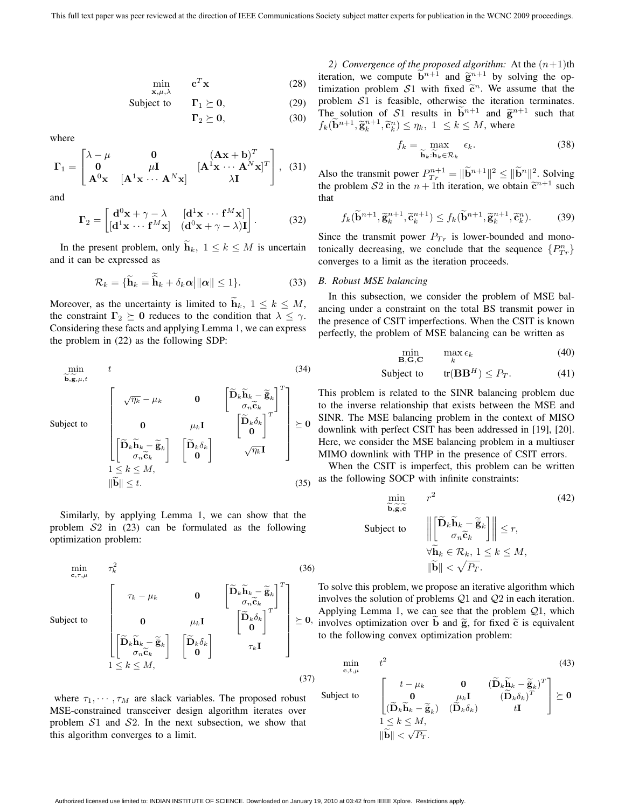$$
\min_{\mathbf{x}, \mu, \lambda} \qquad \mathbf{c}^T \mathbf{x} \tag{28}
$$

Subject to 
$$
\Gamma_1 \succeq 0
$$
, (29)

 $\Gamma_2 \succeq 0,$  (30)

where

$$
\mathbf{\Gamma}_{1} = \begin{bmatrix} \lambda - \mu & \mathbf{0} & (\mathbf{A}\mathbf{x} + \mathbf{b})^{T} \\ \mathbf{0} & \mu \mathbf{I} & (\mathbf{A}^{1}\mathbf{x} \cdots \mathbf{A}^{N}\mathbf{x})^{T} \\ \mathbf{A}^{0}\mathbf{x} & [\mathbf{A}^{1}\mathbf{x} \cdots \mathbf{A}^{N}\mathbf{x}] & \lambda \mathbf{I} \end{bmatrix}, (31)
$$

and

S

$$
\Gamma_2 = \begin{bmatrix} \mathbf{d}^0 \mathbf{x} + \gamma - \lambda & [\mathbf{d}^1 \mathbf{x} \cdots \mathbf{f}^M \mathbf{x}] \\ [\mathbf{d}^1 \mathbf{x} \cdots \mathbf{f}^M \mathbf{x}] & (\mathbf{d}^0 \mathbf{x} + \gamma - \lambda) \mathbf{I} \end{bmatrix} . \tag{32}
$$

In the present problem, only  $\tilde{\mathbf{h}}_k$ ,  $1 \leq k \leq M$  is uncertain and it can be expressed as

$$
\mathcal{R}_k = \{ \widetilde{\mathbf{h}}_k = \widetilde{\widehat{\mathbf{h}}}_k + \delta_k \alpha \, \|\alpha\| \le 1 \}. \tag{33}
$$

Moreover, as the uncertainty is limited to  $\mathbf{h}_k$ ,  $1 \leq k \leq M$ , the constraint  $\Gamma_2 \succeq 0$  reduces to the condition that  $\lambda \leq \gamma$ . Considering these facts and applying Lemma 1, we can express the problem in (22) as the following SDP:

$$
\min_{\widetilde{\mathbf{b}}, \widetilde{\mathbf{g}}, \mu, t} \quad t
$$
\n
$$
\text{subject to} \quad \begin{bmatrix}\n\sqrt{\eta_k} - \mu_k & \mathbf{0} \\
\mathbf{0} & \mu_k \mathbf{I} & \begin{bmatrix} \widetilde{\mathbf{D}}_k \widetilde{\mathbf{h}}_k - \widetilde{\mathbf{g}}_k \\ \sigma_n \widetilde{\mathbf{c}}_k \\ \mathbf{0} & \mu_k \mathbf{I} \end{bmatrix}^T \\
1 \leq k \leq M, \\
\|\widetilde{\mathbf{b}}\| \leq t.
$$
\n(35)

Similarly, by applying Lemma 1, we can show that the problem  $S_2$  in (23) can be formulated as the following optimization problem:

$$
\begin{array}{ll}\n\min_{\mathbf{c},\tau,\mu} & \tau_k^2 & (36) \\
\text{Subject to} & \left[ \begin{array}{cc} \tau_k - \mu_k & \mathbf{0} & \left[ \widetilde{\mathbf{D}}_k \widetilde{\mathbf{h}}_k - \widetilde{\mathbf{g}}_k \right]^T \\
\mathbf{0} & \mu_k \mathbf{I} & \left[ \widetilde{\mathbf{D}}_k \delta_k \right]^T \\
\left[ \widetilde{\mathbf{D}}_k \widetilde{\mathbf{h}}_k - \widetilde{\mathbf{g}}_k \right] & \left[ \widetilde{\mathbf{D}}_k \delta_k \right] & \tau_k \mathbf{I} \\
1 \leq k \leq M,\n\end{array} \right] \end{array} \tag{36}
$$

where  $\tau_1, \dots, \tau_M$  are slack variables. The proposed robust MSE-constrained transceiver design algorithm iterates over problem  $S1$  and  $S2$ . In the next subsection, we show that this algorithm converges to a limit.

2) Convergence of the proposed algorithm: At the  $(n+1)$ th iteration, we compute  $\tilde{b}^{n+1}$  and  $\tilde{g}^{n+1}$  by solving the optimization problem  $S1$  with fixed  $\tilde{c}^n$ . We assume that the problem S1 is feasible, otherwise the iteration terminates. The solution of S1 results in  $\tilde{b}^{n+1}$  and  $\tilde{g}^{n+1}$  such that  $f_k(\widetilde{\mathbf{b}}^{n+1}, \widetilde{\mathbf{g}}_k^{n+1}, \widetilde{\mathbf{c}}_k^n) \leq \eta_k, 1 \leq k \leq M$ , where

$$
f_k = \max_{\widetilde{\mathbf{h}}_k : \widetilde{\mathbf{h}}_k \in \mathcal{R}_k} \epsilon_k.
$$
 (38)

Also the transmit power  $P_{Tr}^{n+1} = \|\widetilde{\mathbf{b}}^{n+1}\|^2 \le \|\widetilde{\mathbf{b}}^n\|^2$ . Solving the problem S2 in the  $n + 1$ th iteration, we obtain  $\tilde{c}^{n+1}$  such that

$$
f_k(\widetilde{\mathbf{b}}^{n+1}, \widetilde{\mathbf{g}}_k^{n+1}, \widetilde{\mathbf{c}}_k^{n+1}) \le f_k(\widetilde{\mathbf{b}}^{n+1}, \widetilde{\mathbf{g}}_k^{n+1}, \widetilde{\mathbf{c}}_k^n). \tag{39}
$$

Since the transmit power  $P_{Tr}$  is lower-bounded and monotonically decreasing, we conclude that the sequence  $\{P_{Tr}^n\}$ converges to a limit as the iteration proceeds.

#### *B. Robust MSE balancing*

Su

In this subsection, we consider the problem of MSE balancing under a constraint on the total BS transmit power in the presence of CSIT imperfections. When the CSIT is known perfectly, the problem of MSE balancing can be written as

$$
\min_{\mathbf{B},\mathbf{G},\mathbf{C}} \qquad \max_{k} \epsilon_k \tag{40}
$$

$$
\text{Subject to } \text{tr}(\mathbf{B}\mathbf{B}^H) \le P_T. \tag{41}
$$

This problem is related to the SINR balancing problem due to the inverse relationship that exists between the MSE and SINR. The MSE balancing problem in the context of MISO downlink with perfect CSIT has been addressed in [19], [20]. Here, we consider the MSE balancing problem in a multiuser MIMO downlink with THP in the presence of CSIT errors.

When the CSIT is imperfect, this problem can be written as the following SOCP with infinite constraints:

$$
\min_{\widetilde{\mathbf{b}}, \widetilde{\mathbf{g}}, \widetilde{\mathbf{c}}} \qquad r^2
$$
\nobject to

\n
$$
\left\| \begin{bmatrix} \widetilde{\mathbf{D}}_k \widetilde{\mathbf{h}}_k - \widetilde{\mathbf{g}}_k \\ \sigma_n \widetilde{\mathbf{c}}_k \end{bmatrix} \right\| \leq r,
$$
\n
$$
\forall \widetilde{\mathbf{h}}_k \in \mathcal{R}_k, 1 \leq k \leq M,
$$
\n
$$
\|\widetilde{\mathbf{b}}\| < \sqrt{P_T}.
$$
\n(42)

To solve this problem, we propose an iterative algorithm which involves the solution of problems Q1 and Q2 in each iteration. Applying Lemma 1, we can see that the problem  $Q_1$ , which involves optimization over **b** and  $\tilde{g}$ , for fixed  $\tilde{c}$  is equivalent to the following convex optimization problem:

$$
\min_{\mathbf{c},t,\mu} \qquad t^2
$$
\n
$$
\text{ct to} \qquad \begin{bmatrix}\n t - \mu_k & \mathbf{0} & (\widetilde{\mathbf{D}}_k \widetilde{\mathbf{h}}_k - \widetilde{\mathbf{g}}_k)^T \\
 \mathbf{0} & \mu_k \mathbf{I} & (\widetilde{\mathbf{D}}_k \delta_k)^T \\
 (\widetilde{\mathbf{D}}_k \widetilde{\mathbf{h}}_k - \widetilde{\mathbf{g}}_k) & (\widetilde{\mathbf{D}}_k \delta_k) & t \mathbf{I}\n\end{bmatrix} \succeq \mathbf{0}
$$
\n
$$
1 \le k \le M,
$$
\n
$$
\|\widetilde{\mathbf{b}}\| < \sqrt{P_T}.
$$
\n
$$
(43)
$$

(37)

Subject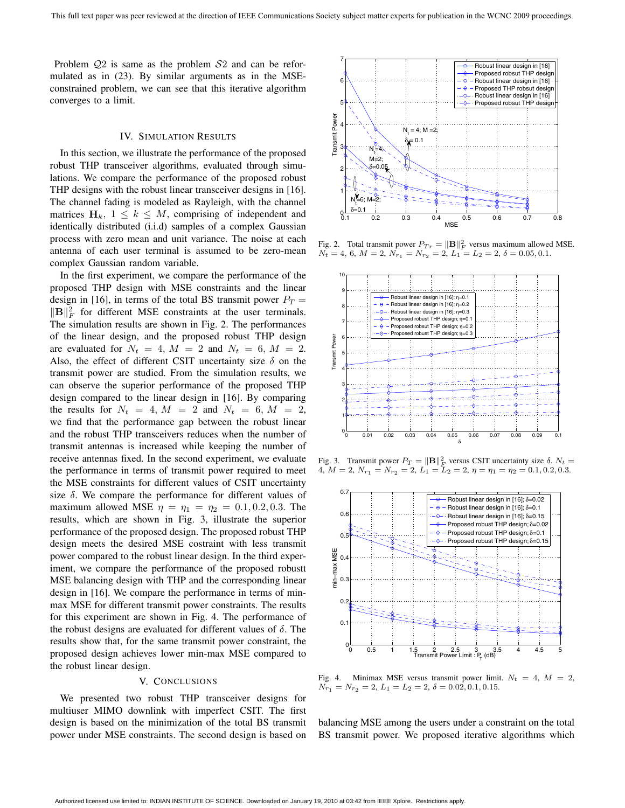Problem  $Q2$  is same as the problem  $S2$  and can be reformulated as in (23). By similar arguments as in the MSEconstrained problem, we can see that this iterative algorithm converges to a limit.

#### IV. SIMULATION RESULTS

In this section, we illustrate the performance of the proposed robust THP transceiver algorithms, evaluated through simulations. We compare the performance of the proposed robust THP designs with the robust linear transceiver designs in [16]. The channel fading is modeled as Rayleigh, with the channel matrices  $H_k$ ,  $1 \leq k \leq M$ , comprising of independent and identically distributed (i.i.d) samples of a complex Gaussian process with zero mean and unit variance. The noise at each antenna of each user terminal is assumed to be zero-mean complex Gaussian random variable.

In the first experiment, we compare the performance of the proposed THP design with MSE constraints and the linear design in [16], in terms of the total BS transmit power  $P_T =$  $\|\mathbf{B}\|_F^2$  for different MSE constraints at the user terminals. The simulation results are shown in Fig. 2. The performances of the linear design, and the proposed robust THP design are evaluated for  $N_t = 4$ ,  $M = 2$  and  $N_t = 6$ ,  $M = 2$ . Also, the effect of different CSIT uncertainty size  $\delta$  on the transmit power are studied. From the simulation results, we can observe the superior performance of the proposed THP design compared to the linear design in [16]. By comparing the results for  $N_t = 4$ ,  $M = 2$  and  $N_t = 6$ ,  $M = 2$ , we find that the performance gap between the robust linear and the robust THP transceivers reduces when the number of transmit antennas is increased while keeping the number of receive antennas fixed. In the second experiment, we evaluate the performance in terms of transmit power required to meet the MSE constraints for different values of CSIT uncertainty size  $\delta$ . We compare the performance for different values of maximum allowed MSE  $\eta = \eta_1 = \eta_2 = 0.1, 0.2, 0.3$ . The results, which are shown in Fig. 3, illustrate the superior performance of the proposed design. The proposed robust THP design meets the desired MSE costraint with less transmit power compared to the robust linear design. In the third experiment, we compare the performance of the proposed robustt MSE balancing design with THP and the corresponding linear design in [16]. We compare the performance in terms of minmax MSE for different transmit power constraints. The results for this experiment are shown in Fig. 4. The performance of the robust designs are evaluated for different values of  $\delta$ . The results show that, for the same transmit power constraint, the proposed design achieves lower min-max MSE compared to the robust linear design.

## V. CONCLUSIONS

We presented two robust THP transceiver designs for multiuser MIMO downlink with imperfect CSIT. The first design is based on the minimization of the total BS transmit power under MSE constraints. The second design is based on



Fig. 2. Total transmit power  $P_{T r} = ||\mathbf{B}||_F^2$  versus maximum allowed MSE.  $N_t = 4, 6, M = 2, N_{r_1} = N_{r_2} = 2, L_1 = L_2 = 2, \delta = 0.05, 0.1.$ 



Fig. 3. Transmit power  $P_T = ||\mathbf{B}||_E^2$  versus CSIT uncertainty size  $\delta$ .  $N_t =$ 4,  $M = 2$ ,  $N_{r_1} = N_{r_2} = 2$ ,  $L_1 = L_2 = 2$ ,  $\eta = \eta_1 = \eta_2 = 0.1, 0.2, 0.3$ .



Fig. 4. Minimax MSE versus transmit power limit.  $N_t = 4$ ,  $M = 2$ ,  $N_{r_1} = N_{r_2} = 2, L_1 = L_2 = 2, \delta = 0.02, 0.1, 0.15.$ 

balancing MSE among the users under a constraint on the total BS transmit power. We proposed iterative algorithms which